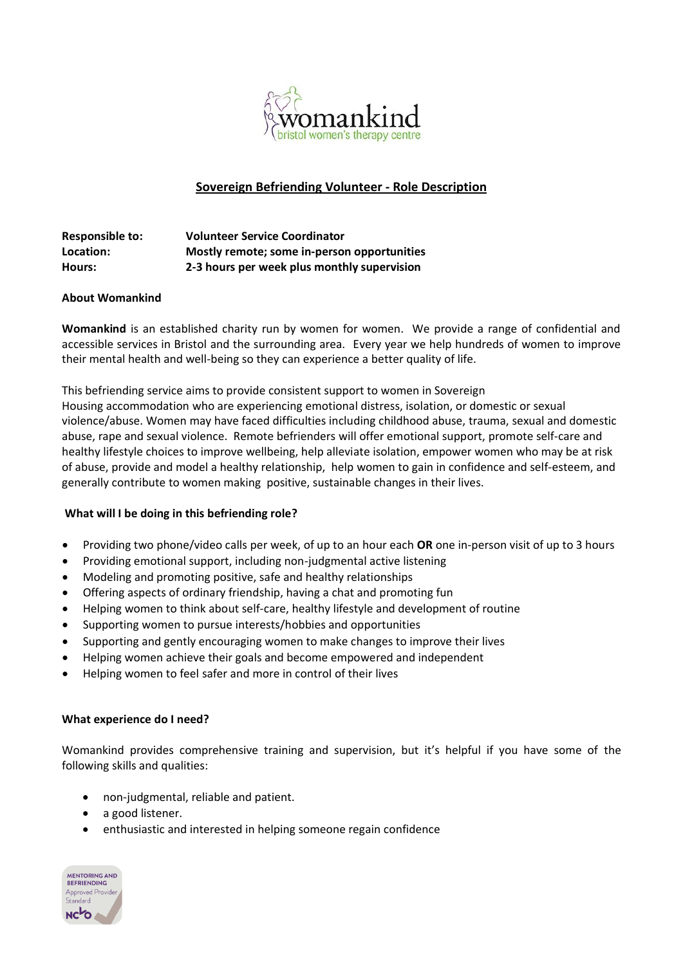

# **Sovereign Befriending Volunteer - Role Description**

| <b>Responsible to:</b> | <b>Volunteer Service Coordinator</b>        |
|------------------------|---------------------------------------------|
| Location:              | Mostly remote; some in-person opportunities |
| Hours:                 | 2-3 hours per week plus monthly supervision |

#### **About Womankind**

**Womankind** is an established charity run by women for women. We provide a range of confidential and accessible services in Bristol and the surrounding area. Every year we help hundreds of women to improve their mental health and well-being so they can experience a better quality of life.

This befriending service aims to provide consistent support to women in Sovereign Housing accommodation who are experiencing emotional distress, isolation, or domestic or sexual violence/abuse. Women may have faced difficulties including childhood abuse, trauma, sexual and domestic abuse, rape and sexual violence. Remote befrienders will offer emotional support, promote self-care and healthy lifestyle choices to improve wellbeing, help alleviate isolation, empower women who may be at risk of abuse, provide and model a healthy relationship, help women to gain in confidence and self-esteem, and generally contribute to women making positive, sustainable changes in their lives.

### **What will I be doing in this befriending role?**

- Providing two phone/video calls per week, of up to an hour each **OR** one in-person visit of up to 3 hours
- Providing emotional support, including non-judgmental active listening
- Modeling and promoting positive, safe and healthy relationships
- Offering aspects of ordinary friendship, having a chat and promoting fun
- Helping women to think about self-care, healthy lifestyle and development of routine
- Supporting women to pursue interests/hobbies and opportunities
- Supporting and gently encouraging women to make changes to improve their lives
- Helping women achieve their goals and become empowered and independent
- Helping women to feel safer and more in control of their lives

#### **What experience do I need?**

Womankind provides comprehensive training and supervision, but it's helpful if you have some of the following skills and qualities:

- non-judgmental, reliable and patient.
- a good listener.
- enthusiastic and interested in helping someone regain confidence